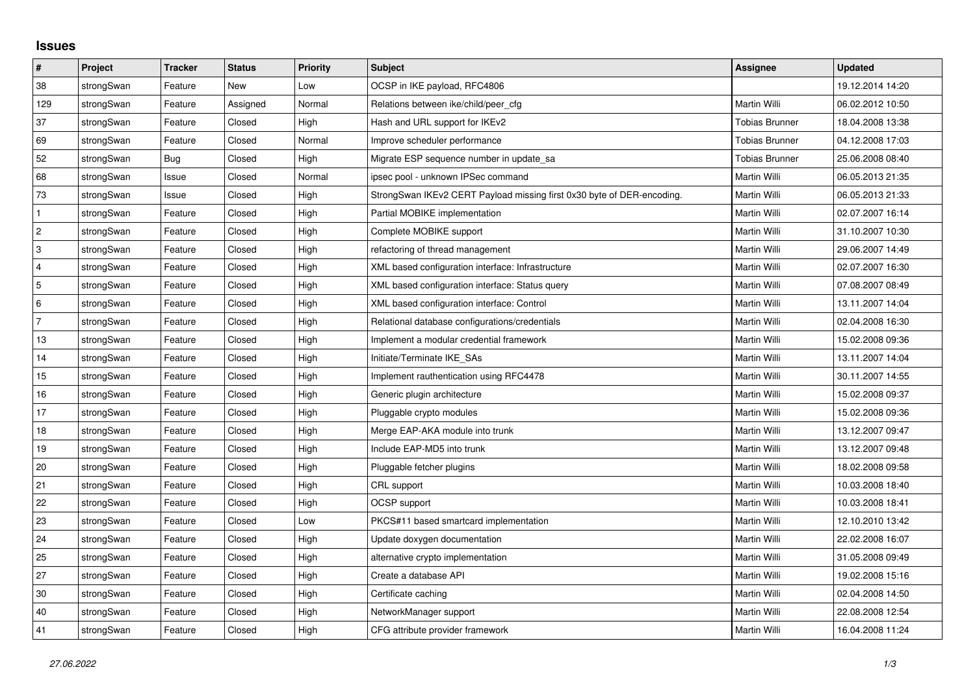## **Issues**

| #              | Project    | <b>Tracker</b> | <b>Status</b> | Priority | <b>Subject</b>                                                         | <b>Assignee</b>       | <b>Updated</b>   |
|----------------|------------|----------------|---------------|----------|------------------------------------------------------------------------|-----------------------|------------------|
| 38             | strongSwan | Feature        | <b>New</b>    | Low      | OCSP in IKE payload, RFC4806                                           |                       | 19.12.2014 14:20 |
| 129            | strongSwan | Feature        | Assigned      | Normal   | Relations between ike/child/peer cfg                                   | Martin Willi          | 06.02.2012 10:50 |
| 37             | strongSwan | Feature        | Closed        | High     | Hash and URL support for IKEv2                                         | <b>Tobias Brunner</b> | 18.04.2008 13:38 |
| 69             | strongSwan | Feature        | Closed        | Normal   | Improve scheduler performance                                          | Tobias Brunner        | 04.12.2008 17:03 |
| 52             | strongSwan | Bug            | Closed        | High     | Migrate ESP sequence number in update sa                               | <b>Tobias Brunner</b> | 25.06.2008 08:40 |
| 68             | strongSwan | Issue          | Closed        | Normal   | ipsec pool - unknown IPSec command                                     | Martin Willi          | 06.05.2013 21:35 |
| 73             | strongSwan | Issue          | Closed        | High     | StrongSwan IKEv2 CERT Payload missing first 0x30 byte of DER-encoding. | Martin Willi          | 06.05.2013 21:33 |
| $\mathbf{1}$   | strongSwan | Feature        | Closed        | High     | Partial MOBIKE implementation                                          | Martin Willi          | 02.07.2007 16:14 |
| $\overline{c}$ | strongSwan | Feature        | Closed        | High     | Complete MOBIKE support                                                | Martin Willi          | 31.10.2007 10:30 |
| $\sqrt{3}$     | strongSwan | Feature        | Closed        | High     | refactoring of thread management                                       | Martin Willi          | 29.06.2007 14:49 |
| $\overline{4}$ | strongSwan | Feature        | Closed        | High     | XML based configuration interface: Infrastructure                      | Martin Willi          | 02.07.2007 16:30 |
| 5              | strongSwan | Feature        | Closed        | High     | XML based configuration interface: Status query                        | Martin Willi          | 07.08.2007 08:49 |
| 6              | strongSwan | Feature        | Closed        | High     | XML based configuration interface: Control                             | Martin Willi          | 13.11.2007 14:04 |
| $\overline{7}$ | strongSwan | Feature        | Closed        | High     | Relational database configurations/credentials                         | Martin Willi          | 02.04.2008 16:30 |
| 13             | strongSwan | Feature        | Closed        | High     | Implement a modular credential framework                               | Martin Willi          | 15.02.2008 09:36 |
| 14             | strongSwan | Feature        | Closed        | High     | Initiate/Terminate IKE SAs                                             | Martin Willi          | 13.11.2007 14:04 |
| 15             | strongSwan | Feature        | Closed        | High     | Implement rauthentication using RFC4478                                | Martin Willi          | 30.11.2007 14:55 |
| 16             | strongSwan | Feature        | Closed        | High     | Generic plugin architecture                                            | Martin Willi          | 15.02.2008 09:37 |
| 17             | strongSwan | Feature        | Closed        | High     | Pluggable crypto modules                                               | Martin Willi          | 15.02.2008 09:36 |
| 18             | strongSwan | Feature        | Closed        | High     | Merge EAP-AKA module into trunk                                        | Martin Willi          | 13.12.2007 09:47 |
| $19$           | strongSwan | Feature        | Closed        | High     | Include EAP-MD5 into trunk                                             | Martin Willi          | 13.12.2007 09:48 |
| 20             | strongSwan | Feature        | Closed        | High     | Pluggable fetcher plugins                                              | Martin Willi          | 18.02.2008 09:58 |
| 21             | strongSwan | Feature        | Closed        | High     | CRL support                                                            | Martin Willi          | 10.03.2008 18:40 |
| 22             | strongSwan | Feature        | Closed        | High     | <b>OCSP</b> support                                                    | Martin Willi          | 10.03.2008 18:41 |
| 23             | strongSwan | Feature        | Closed        | Low      | PKCS#11 based smartcard implementation                                 | Martin Willi          | 12.10.2010 13:42 |
| 24             | strongSwan | Feature        | Closed        | High     | Update doxygen documentation                                           | Martin Willi          | 22.02.2008 16:07 |
| 25             | strongSwan | Feature        | Closed        | High     | alternative crypto implementation                                      | Martin Willi          | 31.05.2008 09:49 |
| 27             | strongSwan | Feature        | Closed        | High     | Create a database API                                                  | Martin Willi          | 19.02.2008 15:16 |
| 30             | strongSwan | Feature        | Closed        | High     | Certificate caching                                                    | Martin Willi          | 02.04.2008 14:50 |
| 40             | strongSwan | Feature        | Closed        | High     | NetworkManager support                                                 | Martin Willi          | 22.08.2008 12:54 |
| 41             | strongSwan | Feature        | Closed        | High     | CFG attribute provider framework                                       | Martin Willi          | 16.04.2008 11:24 |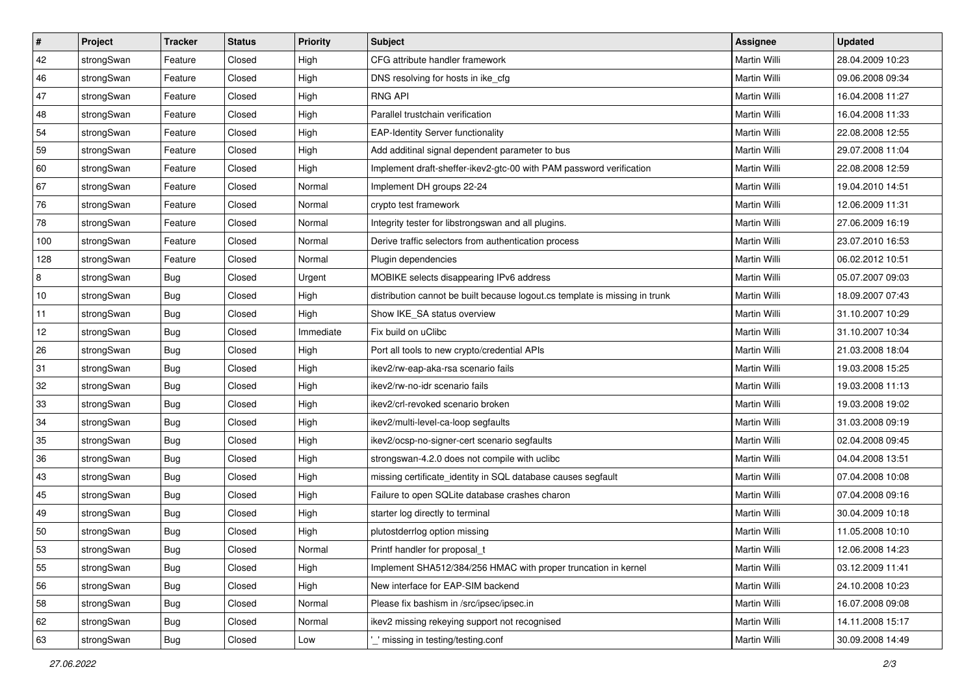| $\vert$ # | Project    | <b>Tracker</b> | <b>Status</b> | Priority  | <b>Subject</b>                                                              | <b>Assignee</b>     | <b>Updated</b>   |
|-----------|------------|----------------|---------------|-----------|-----------------------------------------------------------------------------|---------------------|------------------|
| 42        | strongSwan | Feature        | Closed        | High      | CFG attribute handler framework                                             | Martin Willi        | 28.04.2009 10:23 |
| 46        | strongSwan | Feature        | Closed        | High      | DNS resolving for hosts in ike_cfg                                          | Martin Willi        | 09.06.2008 09:34 |
| 47        | strongSwan | Feature        | Closed        | High      | <b>RNG API</b>                                                              | <b>Martin Willi</b> | 16.04.2008 11:27 |
| 48        | strongSwan | Feature        | Closed        | High      | Parallel trustchain verification                                            | Martin Willi        | 16.04.2008 11:33 |
| 54        | strongSwan | Feature        | Closed        | High      | <b>EAP-Identity Server functionality</b>                                    | Martin Willi        | 22.08.2008 12:55 |
| 59        | strongSwan | Feature        | Closed        | High      | Add additinal signal dependent parameter to bus                             | Martin Willi        | 29.07.2008 11:04 |
| 60        | strongSwan | Feature        | Closed        | High      | Implement draft-sheffer-ikev2-gtc-00 with PAM password verification         | Martin Willi        | 22.08.2008 12:59 |
| 67        | strongSwan | Feature        | Closed        | Normal    | Implement DH groups 22-24                                                   | Martin Willi        | 19.04.2010 14:51 |
| 76        | strongSwan | Feature        | Closed        | Normal    | crypto test framework                                                       | Martin Willi        | 12.06.2009 11:31 |
| 78        | strongSwan | Feature        | Closed        | Normal    | Integrity tester for libstrongswan and all plugins.                         | Martin Willi        | 27.06.2009 16:19 |
| 100       | strongSwan | Feature        | Closed        | Normal    | Derive traffic selectors from authentication process                        | Martin Willi        | 23.07.2010 16:53 |
| 128       | strongSwan | Feature        | Closed        | Normal    | Plugin dependencies                                                         | <b>Martin Willi</b> | 06.02.2012 10:51 |
| 8         | strongSwan | Bug            | Closed        | Urgent    | MOBIKE selects disappearing IPv6 address                                    | Martin Willi        | 05.07.2007 09:03 |
| 10        | strongSwan | Bug            | Closed        | High      | distribution cannot be built because logout.cs template is missing in trunk | Martin Willi        | 18.09.2007 07:43 |
| 11        | strongSwan | Bug            | Closed        | High      | Show IKE_SA status overview                                                 | Martin Willi        | 31.10.2007 10:29 |
| 12        | strongSwan | <b>Bug</b>     | Closed        | Immediate | Fix build on uClibc                                                         | Martin Willi        | 31.10.2007 10:34 |
| 26        | strongSwan | <b>Bug</b>     | Closed        | High      | Port all tools to new crypto/credential APIs                                | Martin Willi        | 21.03.2008 18:04 |
| 31        | strongSwan | Bug            | Closed        | High      | ikev2/rw-eap-aka-rsa scenario fails                                         | Martin Willi        | 19.03.2008 15:25 |
| 32        | strongSwan | <b>Bug</b>     | Closed        | High      | ikev2/rw-no-idr scenario fails                                              | Martin Willi        | 19.03.2008 11:13 |
| 33        | strongSwan | Bug            | Closed        | High      | ikev2/crl-revoked scenario broken                                           | Martin Willi        | 19.03.2008 19:02 |
| 34        | strongSwan | <b>Bug</b>     | Closed        | High      | ikev2/multi-level-ca-loop segfaults                                         | Martin Willi        | 31.03.2008 09:19 |
| 35        | strongSwan | <b>Bug</b>     | Closed        | High      | ikev2/ocsp-no-signer-cert scenario segfaults                                | Martin Willi        | 02.04.2008 09:45 |
| 36        | strongSwan | Bug            | Closed        | High      | strongswan-4.2.0 does not compile with uclibc                               | Martin Willi        | 04.04.2008 13:51 |
| 43        | strongSwan | <b>Bug</b>     | Closed        | High      | missing certificate_identity in SQL database causes segfault                | Martin Willi        | 07.04.2008 10:08 |
| 45        | strongSwan | <b>Bug</b>     | Closed        | High      | Failure to open SQLite database crashes charon                              | Martin Willi        | 07.04.2008 09:16 |
| 49        | strongSwan | Bug            | Closed        | High      | starter log directly to terminal                                            | Martin Willi        | 30.04.2009 10:18 |
| 50        | strongSwan | Bug            | Closed        | High      | plutostderrlog option missing                                               | Martin Willi        | 11.05.2008 10:10 |
| 53        | strongSwan | Bug            | Closed        | Normal    | Printf handler for proposal_t                                               | Martin Willi        | 12.06.2008 14:23 |
| 55        | strongSwan | <b>Bug</b>     | Closed        | High      | Implement SHA512/384/256 HMAC with proper truncation in kernel              | Martin Willi        | 03.12.2009 11:41 |
| 56        | strongSwan | Bug            | Closed        | High      | New interface for EAP-SIM backend                                           | Martin Willi        | 24.10.2008 10:23 |
| 58        | strongSwan | Bug            | Closed        | Normal    | Please fix bashism in /src/ipsec/ipsec.in                                   | Martin Willi        | 16.07.2008 09:08 |
| 62        | strongSwan | Bug            | Closed        | Normal    | ikev2 missing rekeying support not recognised                               | Martin Willi        | 14.11.2008 15:17 |
| 63        | strongSwan | <b>Bug</b>     | Closed        | Low       | ' missing in testing/testing.conf                                           | Martin Willi        | 30.09.2008 14:49 |